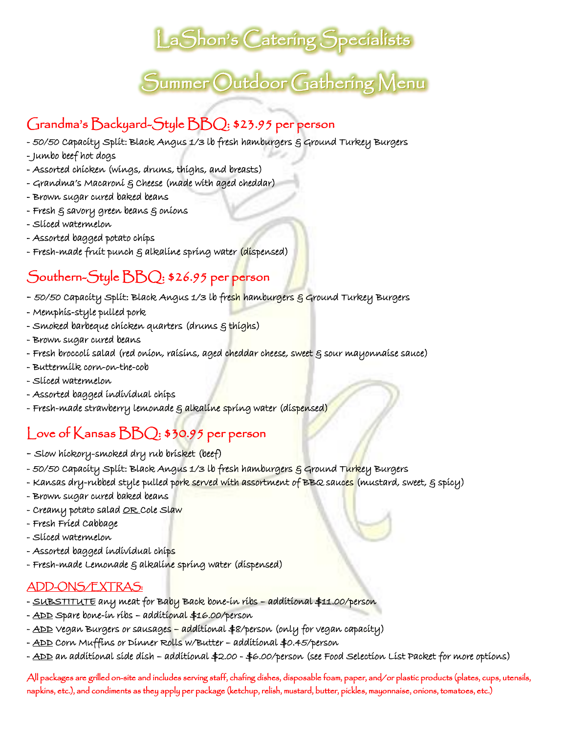## LaShon's Catering Specialists

## $\tilde{\mathcal{S}}$ ummer  $\bigcirc$ utdoor Gathering Menu

### Grandma's Backyard-Style BBQ: \$23.95 per person

- 50/50 Capacity Split: Black Angus 1/3 lb fresh hamburgers § Ground Turkey Burgers
- Jumbo beef hot dogs
- Assorted chicken (wings, drums, thighs, and breasts)
- Grandma's Macaroni & Cheese (made with aged cheddar)
- Brown sugar cured baked beans
- Fresh & savory green beans & onions
- Sliced watermelon
- Assorted bagged potato chips
- Fresh-made fruit punch  $\varepsilon$  alkaline spring water (dispensed)

### Southern-Style BBQ: \$26.95 per person

- 50/50 Capacity Split: Black Angus 1/3 lb fre<mark>sh</mark> hamburgers § Ground Turkey Burgers
- Memphis-style pulled pork
- Smoked barbeque chicken quarters (drums  $\xi$  thighs)
- Brown sugar cured beans
- Fresh broccolí salad (red oníon, raísíns, aged c<mark>hedda</mark>r cheese, s<mark>weet</mark> § sour mayonnaíse sauce)
- Buttermilk corn-on-the-cob
- Sliced watermelon
- Assorted bagged individual chips
- Fresh-made strawberry lemonade & alkaline spring water (dispensed)

#### Love of Kansas BBQ: \$30.95 per person

- Slow hickory-smoked dry rub brisket (beef)
- 50/50 Capacity Split: Black Angus 1/3 lb fresh hamburgers <mark>§</mark> Ground T<mark>urk</mark>ey Burgers
- Kansas dry-rubbed style pulled pork served with assortment of BBQ sauc<mark>es</mark> (mustard, sweet, § spicy)
- Brown sugar cured baked beans
- Creamy potato salad <u>OR</u> Cole Slaw
- Fresh Fried Cabbage
- Sliced watermelon
- Assorted bagged individual chips
- Fresh-made Lemonade & alkalíne spríng water (díspensed)

#### ADD-ONS/EXTRAS:

- SUBSTITUTE any meat for Baby Back bone-in ribs additional \$11.00/person
- ADD Spare bone-in ribs additional \$16.00/person
- <u>ADD</u> Vegan Burgers or sausages <mark>– ad</mark>ditional \$8/person (only for vegan capacity)
- ADD Corn Muffins or Dinner Rolls w/Butter additional \$0.45/person
- ADD an additional side dish additional \$2.00 \$6.00/person (see Food Selection List Packet for more options)

All packages are grilled on-site and includes serving staff, chafing dishes, disposable foam, paper, and/or plastic products (plates, cups, utensils, napkins, etc.), and condiments as they apply per package (ketchup, relish, mustard, butter, pickles, mayonnaise, onions, tomatoes, etc.)